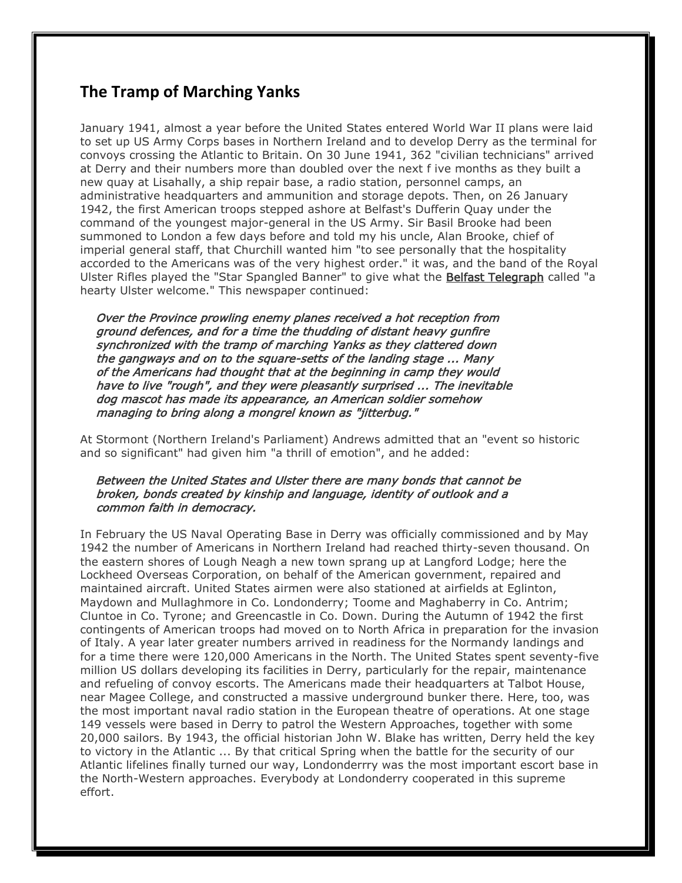## **The Tramp of Marching Yanks**

January 1941, almost a year before the United States entered World War II plans were laid to set up US Army Corps bases in Northern Ireland and to develop Derry as the terminal for convoys crossing the Atlantic to Britain. On 30 June 1941, 362 "civilian technicians" arrived at Derry and their numbers more than doubled over the next f ive months as they built a new quay at Lisahally, a ship repair base, a radio station, personnel camps, an administrative headquarters and ammunition and storage depots. Then, on 26 January 1942, the first American troops stepped ashore at Belfast's Dufferin Quay under the command of the youngest major-general in the US Army. Sir Basil Brooke had been summoned to London a few days before and told my his uncle, Alan Brooke, chief of imperial general staff, that Churchill wanted him "to see personally that the hospitality accorded to the Americans was of the very highest order." it was, and the band of the Royal Ulster Rifles played the "Star Spangled Banner" to give what the Belfast Telegraph called "a hearty Ulster welcome." This newspaper continued:

 Over the Province prowling enemy planes received a hot reception from ground defences, and for a time the thudding of distant heavy gunfire synchronized with the tramp of marching Yanks as they clattered down the gangways and on to the square-setts of the landing stage ... Many of the Americans had thought that at the beginning in camp they would have to live "rough", and they were pleasantly surprised ... The inevitable dog mascot has made its appearance, an American soldier somehow managing to bring along a mongrel known as "jitterbug."

At Stormont (Northern Ireland's Parliament) Andrews admitted that an "event so historic and so significant" had given him "a thrill of emotion", and he added:

## Between the United States and Ulster there are many bonds that cannot be broken, bonds created by kinship and language, identity of outlook and a common faith in democracy.

In February the US Naval Operating Base in Derry was officially commissioned and by May 1942 the number of Americans in Northern Ireland had reached thirty-seven thousand. On the eastern shores of Lough Neagh a new town sprang up at Langford Lodge; here the Lockheed Overseas Corporation, on behalf of the American government, repaired and maintained aircraft. United States airmen were also stationed at airfields at Eglinton, Maydown and Mullaghmore in Co. Londonderry; Toome and Maghaberry in Co. Antrim; Cluntoe in Co. Tyrone; and Greencastle in Co. Down. During the Autumn of 1942 the first contingents of American troops had moved on to North Africa in preparation for the invasion of Italy. A year later greater numbers arrived in readiness for the Normandy landings and for a time there were 120,000 Americans in the North. The United States spent seventy-five million US dollars developing its facilities in Derry, particularly for the repair, maintenance and refueling of convoy escorts. The Americans made their headquarters at Talbot House, near Magee College, and constructed a massive underground bunker there. Here, too, was the most important naval radio station in the European theatre of operations. At one stage 149 vessels were based in Derry to patrol the Western Approaches, together with some 20,000 sailors. By 1943, the official historian John W. Blake has written, Derry held the key to victory in the Atlantic ... By that critical Spring when the battle for the security of our Atlantic lifelines finally turned our way, Londonderrry was the most important escort base in the North-Western approaches. Everybody at Londonderry cooperated in this supreme effort.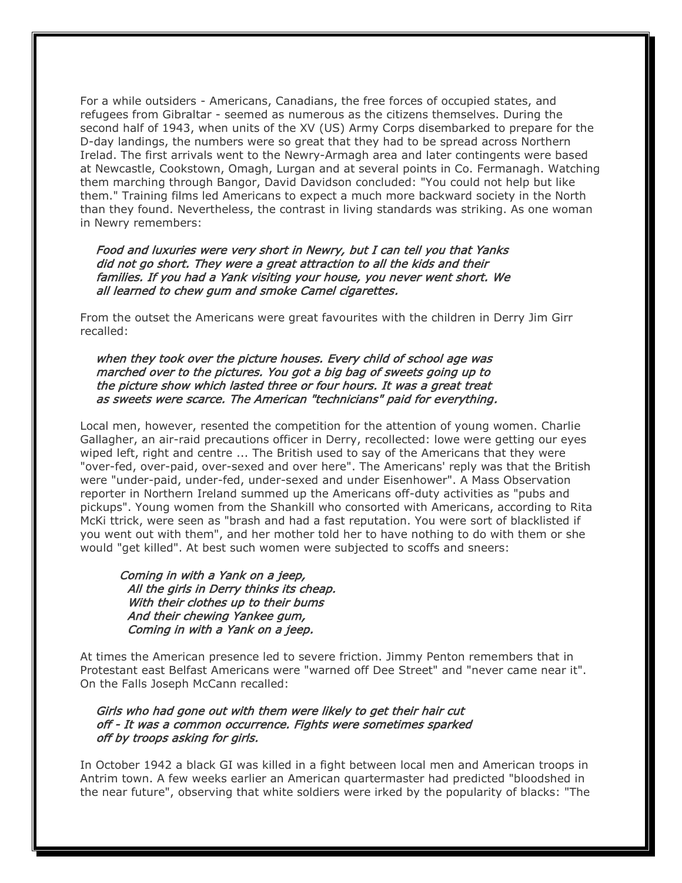For a while outsiders - Americans, Canadians, the free forces of occupied states, and refugees from Gibraltar - seemed as numerous as the citizens themselves. During the second half of 1943, when units of the XV (US) Army Corps disembarked to prepare for the D-day landings, the numbers were so great that they had to be spread across Northern Irelad. The first arrivals went to the Newry-Armagh area and later contingents were based at Newcastle, Cookstown, Omagh, Lurgan and at several points in Co. Fermanagh. Watching them marching through Bangor, David Davidson concluded: "You could not help but like them." Training films led Americans to expect a much more backward society in the North than they found. Nevertheless, the contrast in living standards was striking. As one woman in Newry remembers:

 Food and luxuries were very short in Newry, but I can tell you that Yanks did not go short. They were a great attraction to all the kids and their families. If you had a Yank visiting your house, you never went short. We all learned to chew gum and smoke Camel cigarettes.

From the outset the Americans were great favourites with the children in Derry Jim Girr recalled:

 when they took over the picture houses. Every child of school age was marched over to the pictures. You got a big bag of sweets going up to the picture show which lasted three or four hours. It was a great treat as sweets were scarce. The American "technicians" paid for everything.

Local men, however, resented the competition for the attention of young women. Charlie Gallagher, an air-raid precautions officer in Derry, recollected: lowe were getting our eyes wiped left, right and centre ... The British used to say of the Americans that they were "over-fed, over-paid, over-sexed and over here". The Americans' reply was that the British were "under-paid, under-fed, under-sexed and under Eisenhower". A Mass Observation reporter in Northern Ireland summed up the Americans off-duty activities as "pubs and pickups". Young women from the Shankill who consorted with Americans, according to Rita McKi ttrick, were seen as "brash and had a fast reputation. You were sort of blacklisted if you went out with them", and her mother told her to have nothing to do with them or she would "get killed". At best such women were subjected to scoffs and sneers:

 Coming in with a Yank on a jeep, All the girls in Derry thinks its cheap. With their clothes up to their bums And their chewing Yankee gum, Coming in with a Yank on a jeep.

At times the American presence led to severe friction. Jimmy Penton remembers that in Protestant east Belfast Americans were "warned off Dee Street" and "never came near it". On the Falls Joseph McCann recalled:

 Girls who had gone out with them were likely to get their hair cut off - It was a common occurrence. Fights were sometimes sparked off by troops asking for girls.

In October 1942 a black GI was killed in a fight between local men and American troops in Antrim town. A few weeks earlier an American quartermaster had predicted "bloodshed in the near future", observing that white soldiers were irked by the popularity of blacks: "The